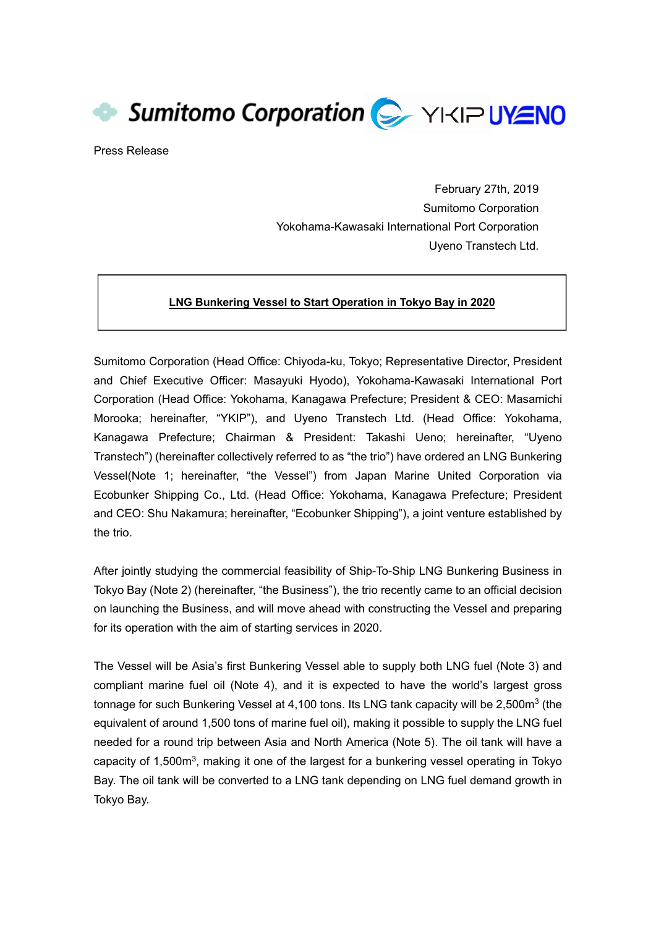Sumitomo Corporation C YKIP UYENO

Press Release

February 27th, 2019 Sumitomo Corporation Yokohama-Kawasaki International Port Corporation Uyeno Transtech Ltd.

## **LNG Bunkering Vessel to Start Operation in Tokyo Bay in 2020**

Sumitomo Corporation (Head Office: Chiyoda-ku, Tokyo; Representative Director, President and Chief Executive Officer: Masayuki Hyodo), Yokohama-Kawasaki International Port Corporation (Head Office: Yokohama, Kanagawa Prefecture; President & CEO: Masamichi Morooka; hereinafter, "YKIP"), and Uyeno Transtech Ltd. (Head Office: Yokohama, Kanagawa Prefecture; Chairman & President: Takashi Ueno; hereinafter, "Uyeno Transtech") (hereinafter collectively referred to as "the trio") have ordered an LNG Bunkering Vessel(Note 1; hereinafter, "the Vessel") from Japan Marine United Corporation via Ecobunker Shipping Co., Ltd. (Head Office: Yokohama, Kanagawa Prefecture; President and CEO: Shu Nakamura; hereinafter, "Ecobunker Shipping"), a joint venture established by the trio.

After jointly studying the commercial feasibility of Ship-To-Ship LNG Bunkering Business in Tokyo Bay (Note 2) (hereinafter, "the Business"), the trio recently came to an official decision on launching the Business, and will move ahead with constructing the Vessel and preparing for its operation with the aim of starting services in 2020.

The Vessel will be Asia's first Bunkering Vessel able to supply both LNG fuel (Note 3) and compliant marine fuel oil (Note 4), and it is expected to have the world's largest gross tonnage for such Bunkering Vessel at 4,100 tons. Its LNG tank capacity will be 2,500m<sup>3</sup> (the equivalent of around 1,500 tons of marine fuel oil), making it possible to supply the LNG fuel needed for a round trip between Asia and North America (Note 5). The oil tank will have a capacity of 1,500 $m<sup>3</sup>$ , making it one of the largest for a bunkering vessel operating in Tokyo Bay. The oil tank will be converted to a LNG tank depending on LNG fuel demand growth in Tokyo Bay.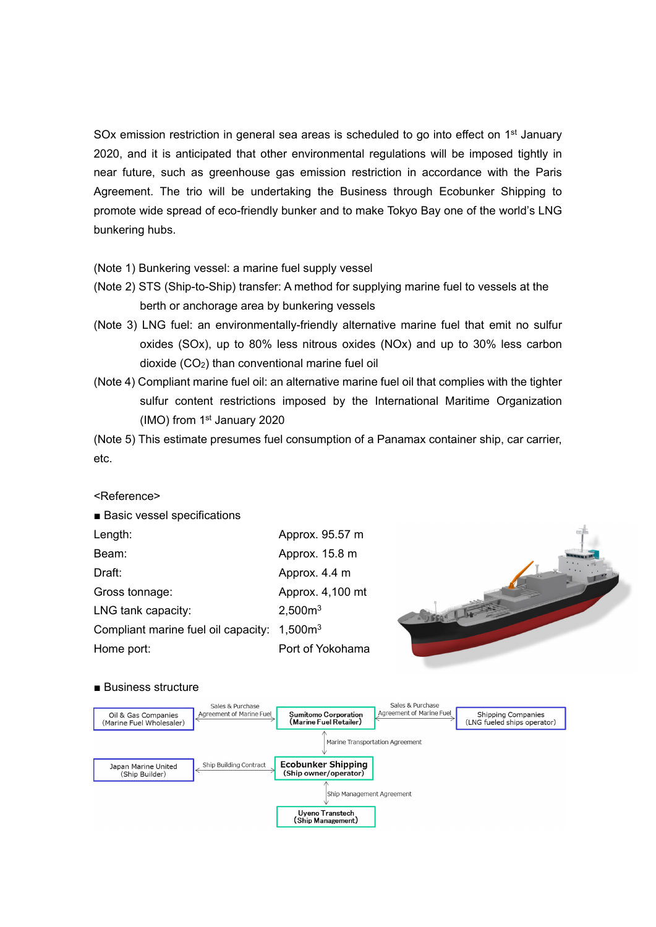SOx emission restriction in general sea areas is scheduled to go into effect on  $1<sup>st</sup>$  January 2020, and it is anticipated that other environmental regulations will be imposed tightly in near future, such as greenhouse gas emission restriction in accordance with the Paris Agreement. The trio will be undertaking the Business through Ecobunker Shipping to promote wide spread of eco-friendly bunker and to make Tokyo Bay one of the world's LNG bunkering hubs.

(Note 1) Bunkering vessel: a marine fuel supply vessel

- (Note 2) STS (Ship-to-Ship) transfer: A method for supplying marine fuel to vessels at the berth or anchorage area by bunkering vessels
- (Note 3) LNG fuel: an environmentally-friendly alternative marine fuel that emit no sulfur oxides (SOx), up to 80% less nitrous oxides (NOx) and up to 30% less carbon dioxide (CO2) than conventional marine fuel oil
- (Note 4) Compliant marine fuel oil: an alternative marine fuel oil that complies with the tighter sulfur content restrictions imposed by the International Maritime Organization (IMO) from 1st January 2020

(Note 5) This estimate presumes fuel consumption of a Panamax container ship, car carrier, etc.

<Reference>

| ■ Basic vessel specifications                           |                     |      |
|---------------------------------------------------------|---------------------|------|
| Length:                                                 | Approx. 95.57 m     | eelk |
| Beam:                                                   | Approx. 15.8 m      |      |
| Draft:                                                  | Approx. 4.4 m       |      |
| Gross tonnage:                                          | Approx. 4,100 mt    |      |
| LNG tank capacity:                                      | 2,500m <sup>3</sup> |      |
| Compliant marine fuel oil capacity: 1,500m <sup>3</sup> |                     |      |
| Home port:                                              | Port of Yokohama    |      |
|                                                         |                     |      |

■ Business structure